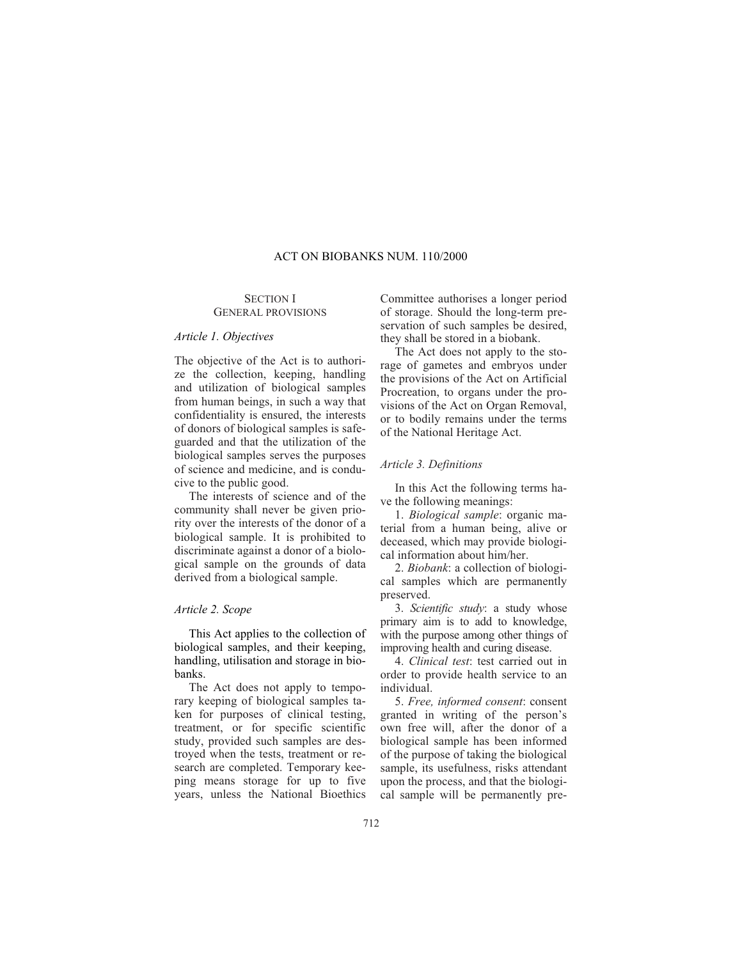## ACT ON BIOBANKS NUM. 110/2000

# SECTION I GENERAL PROVISIONS

#### *Article 1. Objectives*

The objective of the Act is to authorize the collection, keeping, handling and utilization of biological samples from human beings, in such a way that confidentiality is ensured, the interests of donors of biological samples is safeguarded and that the utilization of the biological samples serves the purposes of science and medicine, and is conducive to the public good.

The interests of science and of the community shall never be given priority over the interests of the donor of a biological sample. It is prohibited to discriminate against a donor of a biological sample on the grounds of data derived from a biological sample.

# *Article 2. Scope*

This Act applies to the collection of biological samples, and their keeping, handling, utilisation and storage in biobanks.

The Act does not apply to temporary keeping of biological samples taken for purposes of clinical testing, treatment, or for specific scientific study, provided such samples are destroyed when the tests, treatment or research are completed. Temporary keeping means storage for up to five years, unless the National Bioethics

Committee authorises a longer period of storage. Should the long-term preservation of such samples be desired, they shall be stored in a biobank.

The Act does not apply to the storage of gametes and embryos under the provisions of the Act on Artificial Procreation, to organs under the provisions of the Act on Organ Removal, or to bodily remains under the terms of the National Heritage Act.

# *Article 3. Definitions*

In this Act the following terms have the following meanings:

1. *Biological sample*: organic material from a human being, alive or deceased, which may provide biological information about him/her.

2. *Biobank*: a collection of biological samples which are permanently preserved.

3. *Scientific study*: a study whose primary aim is to add to knowledge, with the purpose among other things of improving health and curing disease.

4. *Clinical test*: test carried out in order to provide health service to an individual.

5. *Free, informed consent*: consent granted in writing of the person's own free will, after the donor of a biological sample has been informed of the purpose of taking the biological sample, its usefulness, risks attendant upon the process, and that the biological sample will be permanently pre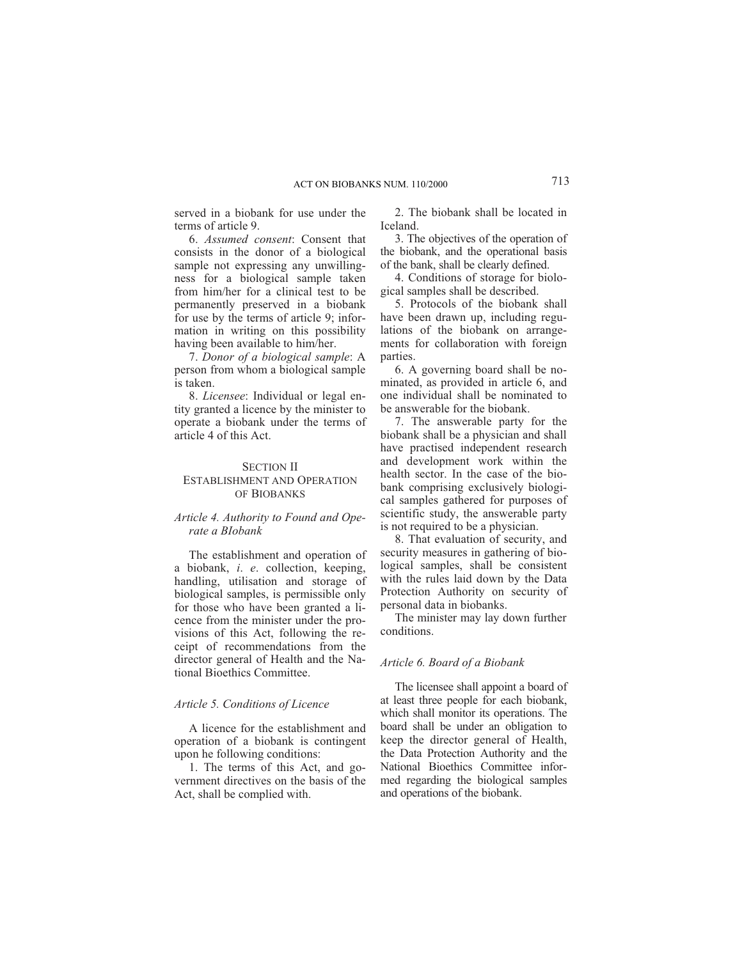served in a biobank for use under the terms of article 9.

6. *Assumed consent*: Consent that consists in the donor of a biological sample not expressing any unwillingness for a biological sample taken from him/her for a clinical test to be permanently preserved in a biobank for use by the terms of article 9; information in writing on this possibility having been available to him/her.

7. *Donor of a biological sample*: A person from whom a biological sample is taken.

8. *Licensee*: Individual or legal entity granted a licence by the minister to operate a biobank under the terms of article 4 of this Act.

# SECTION II

# ESTABLISHMENT AND OPERATION OF BIOBANKS

# *Article 4. Authority to Found and Operate a BIobank*

The establishment and operation of a biobank, *i*. *e*. collection, keeping, handling, utilisation and storage of biological samples, is permissible only for those who have been granted a licence from the minister under the provisions of this Act, following the receipt of recommendations from the director general of Health and the National Bioethics Committee.

# *Article 5. Conditions of Licence*

A licence for the establishment and operation of a biobank is contingent upon he following conditions:

1. The terms of this Act, and government directives on the basis of the Act, shall be complied with.

2. The biobank shall be located in Iceland.

3. The objectives of the operation of the biobank, and the operational basis of the bank, shall be clearly defined.

4. Conditions of storage for biological samples shall be described.

5. Protocols of the biobank shall have been drawn up, including regulations of the biobank on arrangements for collaboration with foreign parties.

6. A governing board shall be nominated, as provided in article 6, and one individual shall be nominated to be answerable for the biobank.

7. The answerable party for the biobank shall be a physician and shall have practised independent research and development work within the health sector. In the case of the biobank comprising exclusively biological samples gathered for purposes of scientific study, the answerable party is not required to be a physician.

8. That evaluation of security, and security measures in gathering of biological samples, shall be consistent with the rules laid down by the Data Protection Authority on security of personal data in biobanks.

The minister may lay down further conditions.

#### *Article 6. Board of a Biobank*

The licensee shall appoint a board of at least three people for each biobank, which shall monitor its operations. The board shall be under an obligation to keep the director general of Health, the Data Protection Authority and the National Bioethics Committee informed regarding the biological samples and operations of the biobank.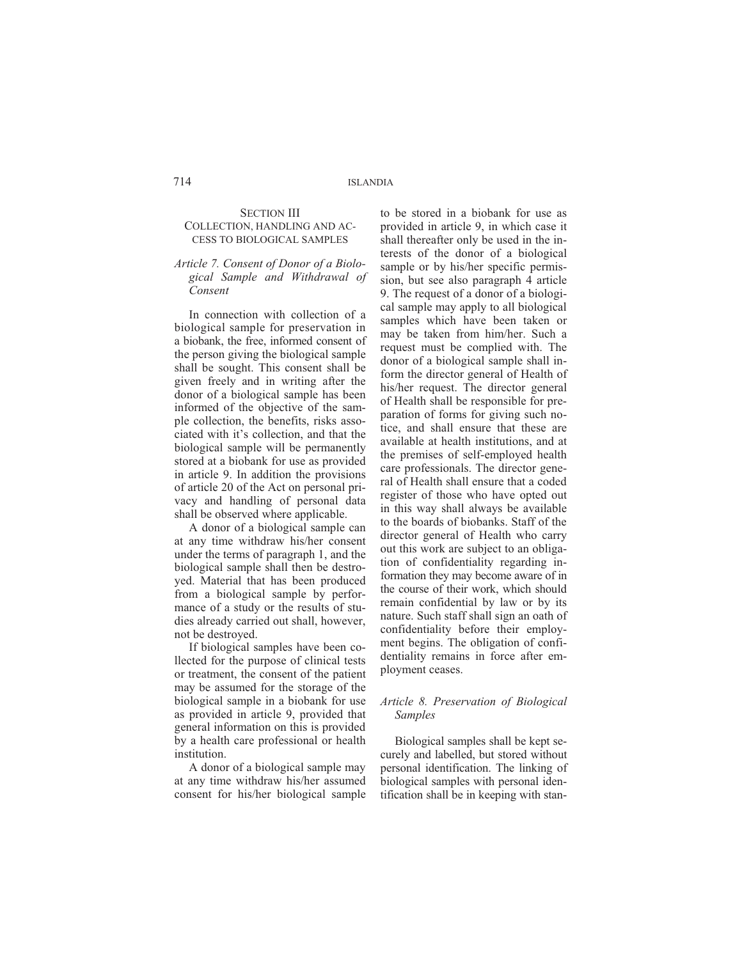#### SECTION III COLLECTION, HANDLING AND AC-CESS TO BIOLOGICAL SAMPLES

# *Article 7. Consent of Donor of a Biological Sample and Withdrawal of Consent*

In connection with collection of a biological sample for preservation in a biobank, the free, informed consent of the person giving the biological sample shall be sought. This consent shall be given freely and in writing after the donor of a biological sample has been informed of the objective of the sample collection, the benefits, risks associated with it's collection, and that the biological sample will be permanently stored at a biobank for use as provided in article 9. In addition the provisions of article 20 of the Act on personal privacy and handling of personal data shall be observed where applicable.

A donor of a biological sample can at any time withdraw his/her consent under the terms of paragraph 1, and the biological sample shall then be destroyed. Material that has been produced from a biological sample by performance of a study or the results of studies already carried out shall, however, not be destroyed.

If biological samples have been collected for the purpose of clinical tests or treatment, the consent of the patient may be assumed for the storage of the biological sample in a biobank for use as provided in article 9, provided that general information on this is provided by a health care professional or health institution.

A donor of a biological sample may at any time withdraw his/her assumed consent for his/her biological sample

to be stored in a biobank for use as provided in article 9, in which case it shall thereafter only be used in the interests of the donor of a biological sample or by his/her specific permission, but see also paragraph 4 article 9. The request of a donor of a biological sample may apply to all biological samples which have been taken or may be taken from him/her. Such a request must be complied with. The donor of a biological sample shall inform the director general of Health of his/her request. The director general of Health shall be responsible for preparation of forms for giving such notice, and shall ensure that these are available at health institutions, and at the premises of self-employed health care professionals. The director general of Health shall ensure that a coded register of those who have opted out in this way shall always be available to the boards of biobanks. Staff of the director general of Health who carry out this work are subject to an obligation of confidentiality regarding information they may become aware of in the course of their work, which should remain confidential by law or by its nature. Such staff shall sign an oath of confidentiality before their employment begins. The obligation of confidentiality remains in force after employment ceases.

#### *Article 8. Preservation of Biological Samples*

Biological samples shall be kept securely and labelled, but stored without personal identification. The linking of biological samples with personal identification shall be in keeping with stan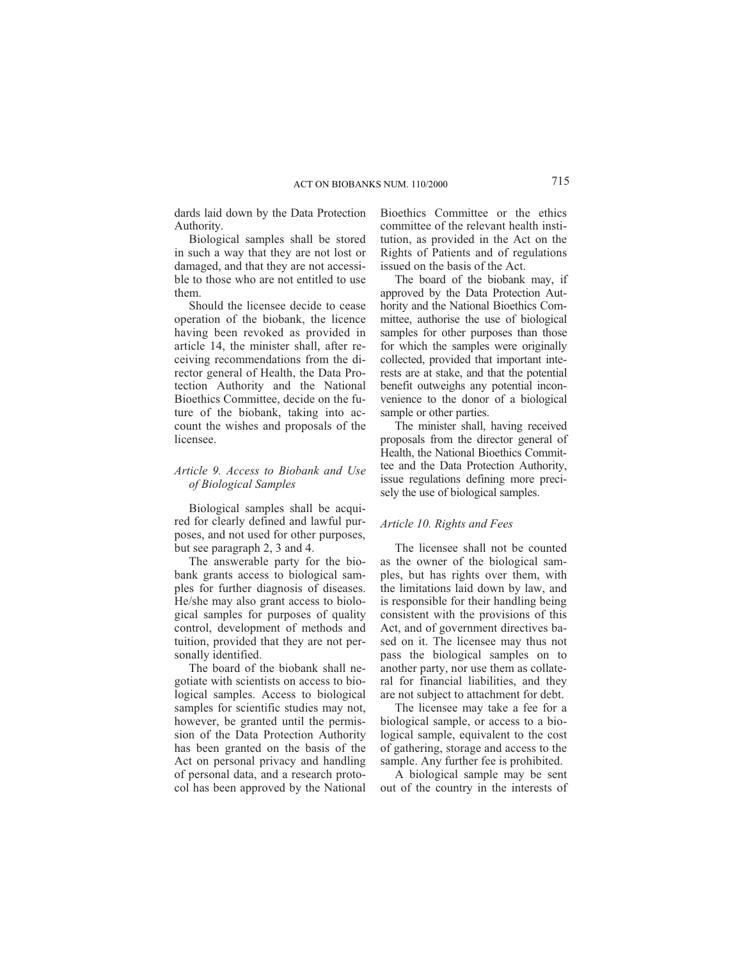dards laid down by the Data Protection Authority.

Biological samples shall be stored in such a way that they are not lost or damaged, and that they are not accessible to those who are not entitled to use them.

Should the licensee decide to cease operation of the biobank, the licence having been revoked as provided in article 14, the minister shall, after receiving recommendations from the director general of Health, the Data Protection Authority and the National Bioethics Committee, decide on the future of the biobank, taking into account the wishes and proposals of the licensee.

### *Article 9. Access to Biobank and Use of Biological Samples*

Biological samples shall be acquired for clearly defined and lawful purposes, and not used for other purposes, but see paragraph 2, 3 and 4.

The answerable party for the biobank grants access to biological samples for further diagnosis of diseases. He/she may also grant access to biological samples for purposes of quality control, development of methods and tuition, provided that they are not personally identified.

The board of the biobank shall negotiate with scientists on access to biological samples. Access to biological samples for scientific studies may not, however, be granted until the permission of the Data Protection Authority has been granted on the basis of the Act on personal privacy and handling of personal data, and a research protocol has been approved by the National Bioethics Committee or the ethics committee of the relevant health institution, as provided in the Act on the Rights of Patients and of regulations issued on the basis of the Act.

The board of the biobank may, if approved by the Data Protection Authority and the National Bioethics Committee, authorise the use of biological samples for other purposes than those for which the samples were originally collected, provided that important interests are at stake, and that the potential benefit outweighs any potential inconvenience to the donor of a biological sample or other parties.

The minister shall, having received proposals from the director general of Health, the National Bioethics Committee and the Data Protection Authority, issue regulations defining more precisely the use of biological samples.

# *Article 10. Rights and Fees*

The licensee shall not be counted as the owner of the biological samples, but has rights over them, with the limitations laid down by law, and is responsible for their handling being consistent with the provisions of this Act, and of government directives based on it. The licensee may thus not pass the biological samples on to another party, nor use them as collateral for financial liabilities, and they are not subject to attachment for debt.

The licensee may take a fee for a biological sample, or access to a biological sample, equivalent to the cost of gathering, storage and access to the sample. Any further fee is prohibited.

A biological sample may be sent out of the country in the interests of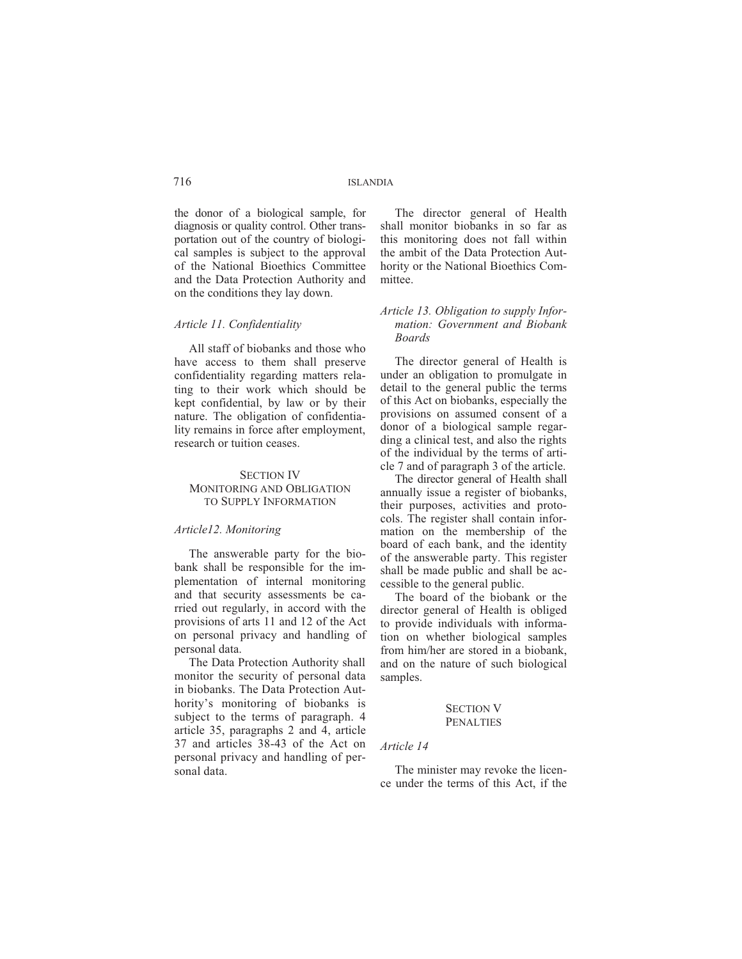the donor of a biological sample, for diagnosis or quality control. Other transportation out of the country of biological samples is subject to the approval of the National Bioethics Committee and the Data Protection Authority and on the conditions they lay down.

#### *Article 11. Confidentiality*

All staff of biobanks and those who have access to them shall preserve confidentiality regarding matters relating to their work which should be kept confidential, by law or by their nature. The obligation of confidentiality remains in force after employment, research or tuition ceases.

# SECTION IV MONITORING AND OBLIGATION TO SUPPLY INFORMATION

#### *Article12. Monitoring*

The answerable party for the biobank shall be responsible for the implementation of internal monitoring and that security assessments be carried out regularly, in accord with the provisions of arts 11 and 12 of the Act on personal privacy and handling of personal data.

The Data Protection Authority shall monitor the security of personal data in biobanks. The Data Protection Authority's monitoring of biobanks is subject to the terms of paragraph. 4 article 35, paragraphs 2 and 4, article 37 and articles 38-43 of the Act on personal privacy and handling of personal data.

The director general of Health shall monitor biobanks in so far as this monitoring does not fall within the ambit of the Data Protection Authority or the National Bioethics Committee.

# *Article 13. Obligation to supply Information: Government and Biobank Boards*

The director general of Health is under an obligation to promulgate in detail to the general public the terms of this Act on biobanks, especially the provisions on assumed consent of a donor of a biological sample regarding a clinical test, and also the rights of the individual by the terms of article 7 and of paragraph 3 of the article.

The director general of Health shall annually issue a register of biobanks, their purposes, activities and protocols. The register shall contain information on the membership of the board of each bank, and the identity of the answerable party. This register shall be made public and shall be accessible to the general public.

The board of the biobank or the director general of Health is obliged to provide individuals with information on whether biological samples from him/her are stored in a biobank, and on the nature of such biological samples.

#### SECTION V **PENALTIES**

## *Article 14*

The minister may revoke the licence under the terms of this Act, if the